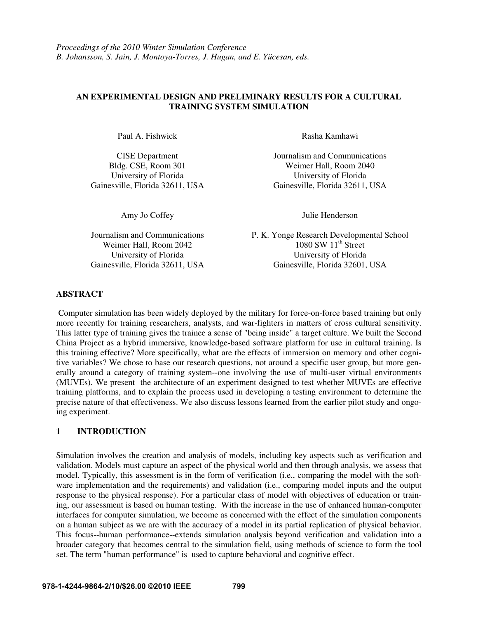## **AN EXPERIMENTAL DESIGN AND PRELIMINARY RESULTS FOR A CULTURAL TRAINING SYSTEM SIMULATION**

Paul A. Fishwick Rasha Kamhawi

University of Florida<br>
Gainesville, Florida 32611, USA<br>
Gainesville, Florida 32611, USA<br>
Gainesville, Florida 32611,

CISE Department Journalism and Communications Bldg. CSE, Room 301 Weimer Hall, Room 2040 Gainesville, Florida 32611, USA

Amy Jo Coffey Julie Henderson

Journalism and Communications P. K. Yonge Research Developmental School Weimer Hall, Room 2042 1080 SW 11<sup>th</sup> Street University of Florida University of Florida Gainesville, Florida 32611, USA Gainesville, Florida 32601, USA

## **ABSTRACT**

 Computer simulation has been widely deployed by the military for force-on-force based training but only more recently for training researchers, analysts, and war-fighters in matters of cross cultural sensitivity. This latter type of training gives the trainee a sense of "being inside" a target culture. We built the Second China Project as a hybrid immersive, knowledge-based software platform for use in cultural training. Is this training effective? More specifically, what are the effects of immersion on memory and other cognitive variables? We chose to base our research questions, not around a specific user group, but more generally around a category of training system--one involving the use of multi-user virtual environments (MUVEs). We present the architecture of an experiment designed to test whether MUVEs are effective training platforms, and to explain the process used in developing a testing environment to determine the precise nature of that effectiveness. We also discuss lessons learned from the earlier pilot study and ongoing experiment.

## **1 INTRODUCTION**

Simulation involves the creation and analysis of models, including key aspects such as verification and validation. Models must capture an aspect of the physical world and then through analysis, we assess that model. Typically, this assessment is in the form of verification (i.e., comparing the model with the software implementation and the requirements) and validation (i.e., comparing model inputs and the output response to the physical response). For a particular class of model with objectives of education or training, our assessment is based on human testing. With the increase in the use of enhanced human-computer interfaces for computer simulation, we become as concerned with the effect of the simulation components on a human subject as we are with the accuracy of a model in its partial replication of physical behavior. This focus--human performance--extends simulation analysis beyond verification and validation into a broader category that becomes central to the simulation field, using methods of science to form the tool set. The term "human performance" is used to capture behavioral and cognitive effect.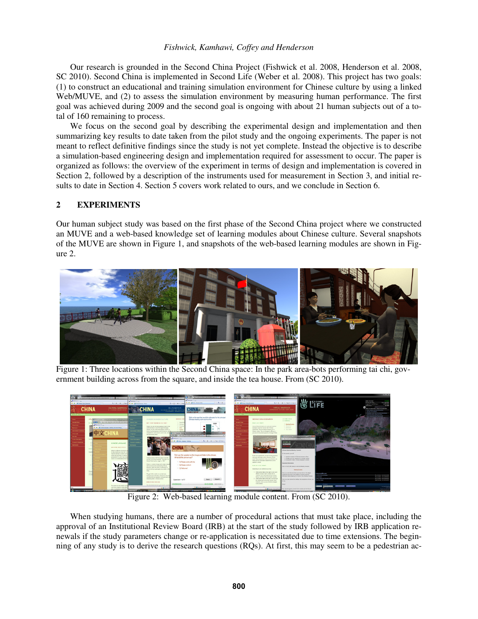Our research is grounded in the Second China Project (Fishwick et al. 2008, Henderson et al. 2008, SC 2010). Second China is implemented in Second Life (Weber et al. 2008). This project has two goals: (1) to construct an educational and training simulation environment for Chinese culture by using a linked Web/MUVE, and (2) to assess the simulation environment by measuring human performance. The first goal was achieved during 2009 and the second goal is ongoing with about 21 human subjects out of a total of 160 remaining to process.

We focus on the second goal by describing the experimental design and implementation and then summarizing key results to date taken from the pilot study and the ongoing experiments. The paper is not meant to reflect definitive findings since the study is not yet complete. Instead the objective is to describe a simulation-based engineering design and implementation required for assessment to occur. The paper is organized as follows: the overview of the experiment in terms of design and implementation is covered in Section 2, followed by a description of the instruments used for measurement in Section 3, and initial results to date in Section 4. Section 5 covers work related to ours, and we conclude in Section 6.

## **2 EXPERIMENTS**

Our human subject study was based on the first phase of the Second China project where we constructed an MUVE and a web-based knowledge set of learning modules about Chinese culture. Several snapshots of the MUVE are shown in Figure 1, and snapshots of the web-based learning modules are shown in Figure 2.



Figure 1: Three locations within the Second China space: In the park area-bots performing tai chi, government building across from the square, and inside the tea house. From (SC 2010).



Figure 2: Web-based learning module content. From (SC 2010).

When studying humans, there are a number of procedural actions that must take place, including the approval of an Institutional Review Board (IRB) at the start of the study followed by IRB application renewals if the study parameters change or re-application is necessitated due to time extensions. The beginning of any study is to derive the research questions (RQs). At first, this may seem to be a pedestrian ac-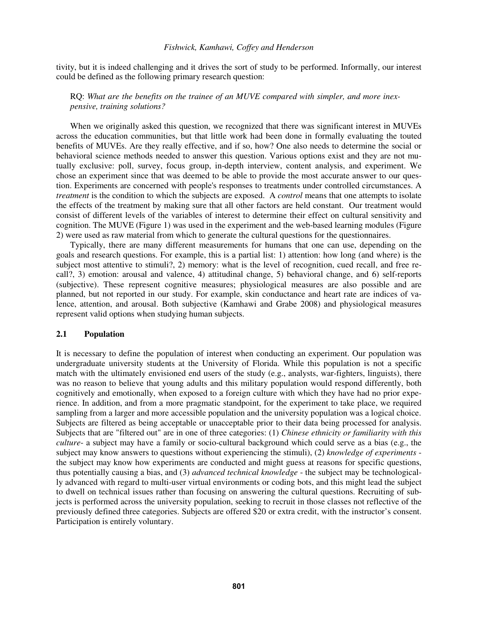tivity, but it is indeed challenging and it drives the sort of study to be performed. Informally, our interest could be defined as the following primary research question:

### RQ: *What are the benefits on the trainee of an MUVE compared with simpler, and more inexpensive, training solutions?*

When we originally asked this question, we recognized that there was significant interest in MUVEs across the education communities, but that little work had been done in formally evaluating the touted benefits of MUVEs. Are they really effective, and if so, how? One also needs to determine the social or behavioral science methods needed to answer this question. Various options exist and they are not mutually exclusive: poll, survey, focus group, in-depth interview, content analysis, and experiment. We chose an experiment since that was deemed to be able to provide the most accurate answer to our question. Experiments are concerned with people's responses to treatments under controlled circumstances. A *treatment* is the condition to which the subjects are exposed. A *control* means that one attempts to isolate the effects of the treatment by making sure that all other factors are held constant. Our treatment would consist of different levels of the variables of interest to determine their effect on cultural sensitivity and cognition. The MUVE (Figure 1) was used in the experiment and the web-based learning modules (Figure 2) were used as raw material from which to generate the cultural questions for the questionnaires.

Typically, there are many different measurements for humans that one can use, depending on the goals and research questions. For example, this is a partial list: 1) attention: how long (and where) is the subject most attentive to stimuli?, 2) memory: what is the level of recognition, cued recall, and free recall?, 3) emotion: arousal and valence, 4) attitudinal change, 5) behavioral change, and 6) self-reports (subjective). These represent cognitive measures; physiological measures are also possible and are planned, but not reported in our study. For example, skin conductance and heart rate are indices of valence, attention, and arousal. Both subjective (Kamhawi and Grabe 2008) and physiological measures represent valid options when studying human subjects.

#### **2.1 Population**

It is necessary to define the population of interest when conducting an experiment. Our population was undergraduate university students at the University of Florida. While this population is not a specific match with the ultimately envisioned end users of the study (e.g., analysts, war-fighters, linguists), there was no reason to believe that young adults and this military population would respond differently, both cognitively and emotionally, when exposed to a foreign culture with which they have had no prior experience. In addition, and from a more pragmatic standpoint, for the experiment to take place, we required sampling from a larger and more accessible population and the university population was a logical choice. Subjects are filtered as being acceptable or unacceptable prior to their data being processed for analysis. Subjects that are "filtered out" are in one of three categories: (1) *Chinese ethnicity or familiarity with this culture*- a subject may have a family or socio-cultural background which could serve as a bias (e.g., the subject may know answers to questions without experiencing the stimuli), (2) *knowledge of experiments* the subject may know how experiments are conducted and might guess at reasons for specific questions, thus potentially causing a bias, and (3) *advanced technical knowledge* - the subject may be technologically advanced with regard to multi-user virtual environments or coding bots, and this might lead the subject to dwell on technical issues rather than focusing on answering the cultural questions. Recruiting of subjects is performed across the university population, seeking to recruit in those classes not reflective of the previously defined three categories. Subjects are offered \$20 or extra credit, with the instructor's consent. Participation is entirely voluntary.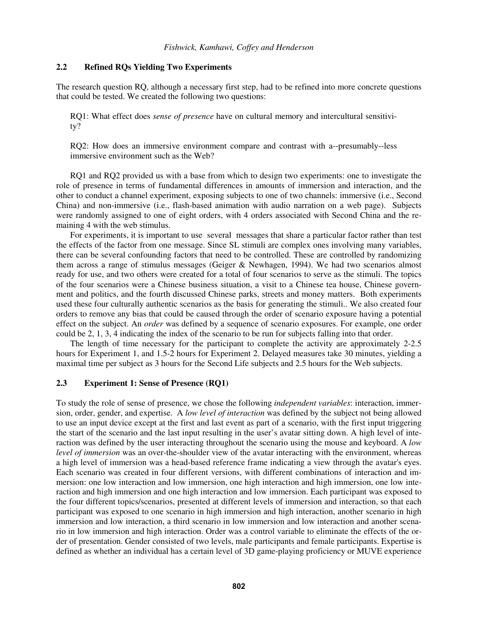## **2.2 Refined RQs Yielding Two Experiments**

The research question RQ, although a necessary first step, had to be refined into more concrete questions that could be tested. We created the following two questions:

RQ1: What effect does *sense of presence* have on cultural memory and intercultural sensitivity?

RQ2: How does an immersive environment compare and contrast with a--presumably--less immersive environment such as the Web?

RQ1 and RQ2 provided us with a base from which to design two experiments: one to investigate the role of presence in terms of fundamental differences in amounts of immersion and interaction, and the other to conduct a channel experiment, exposing subjects to one of two channels: immersive (i.e., Second China) and non-immersive (i.e., flash-based animation with audio narration on a web page). Subjects were randomly assigned to one of eight orders, with 4 orders associated with Second China and the remaining 4 with the web stimulus.

For experiments, it is important to use several messages that share a particular factor rather than test the effects of the factor from one message. Since SL stimuli are complex ones involving many variables, there can be several confounding factors that need to be controlled. These are controlled by randomizing them across a range of stimulus messages (Geiger & Newhagen, 1994). We had two scenarios almost ready for use, and two others were created for a total of four scenarios to serve as the stimuli. The topics of the four scenarios were a Chinese business situation, a visit to a Chinese tea house, Chinese government and politics, and the fourth discussed Chinese parks, streets and money matters. Both experiments used these four culturally authentic scenarios as the basis for generating the stimuli.. We also created four orders to remove any bias that could be caused through the order of scenario exposure having a potential effect on the subject. An *order* was defined by a sequence of scenario exposures. For example, one order could be 2, 1, 3, 4 indicating the index of the scenario to be run for subjects falling into that order.

The length of time necessary for the participant to complete the activity are approximately 2-2.5 hours for Experiment 1, and 1.5-2 hours for Experiment 2. Delayed measures take 30 minutes, yielding a maximal time per subject as 3 hours for the Second Life subjects and 2.5 hours for the Web subjects.

### **2.3 Experiment 1: Sense of Presence (RQ1)**

To study the role of sense of presence, we chose the following *independent variables*: interaction, immersion, order, gender, and expertise. A *low level of interaction* was defined by the subject not being allowed to use an input device except at the first and last event as part of a scenario, with the first input triggering the start of the scenario and the last input resulting in the user's avatar sitting down. A high level of interaction was defined by the user interacting throughout the scenario using the mouse and keyboard. A *low level of immersion* was an over-the-shoulder view of the avatar interacting with the environment, whereas a high level of immersion was a head-based reference frame indicating a view through the avatar's eyes. Each scenario was created in four different versions, with different combinations of interaction and immersion: one low interaction and low immersion, one high interaction and high immersion, one low interaction and high immersion and one high interaction and low immersion. Each participant was exposed to the four different topics/scenarios, presented at different levels of immersion and interaction, so that each participant was exposed to one scenario in high immersion and high interaction, another scenario in high immersion and low interaction, a third scenario in low immersion and low interaction and another scenario in low immersion and high interaction. Order was a control variable to eliminate the effects of the order of presentation. Gender consisted of two levels, male participants and female participants. Expertise is defined as whether an individual has a certain level of 3D game-playing proficiency or MUVE experience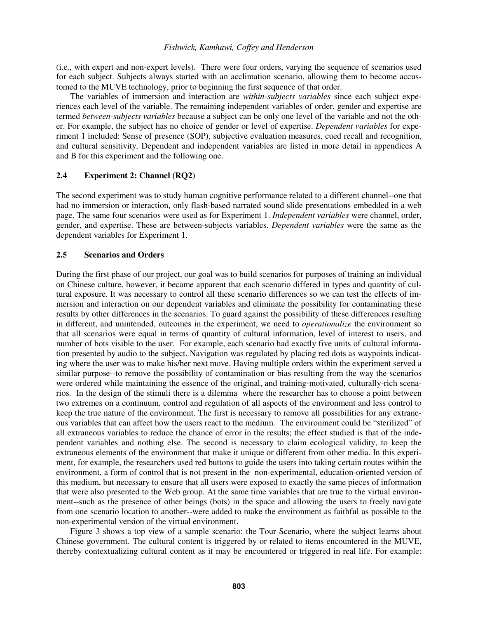(i.e., with expert and non-expert levels). There were four orders, varying the sequence of scenarios used for each subject. Subjects always started with an acclimation scenario, allowing them to become accustomed to the MUVE technology, prior to beginning the first sequence of that order.

The variables of immersion and interaction are *within-subjects variables* since each subject experiences each level of the variable. The remaining independent variables of order, gender and expertise are termed *between-subjects variables* because a subject can be only one level of the variable and not the other. For example, the subject has no choice of gender or level of expertise. *Dependent variables* for experiment 1 included: Sense of presence (SOP), subjective evaluation measures, cued recall and recognition, and cultural sensitivity. Dependent and independent variables are listed in more detail in appendices A and B for this experiment and the following one.

### **2.4 Experiment 2: Channel (RQ2)**

The second experiment was to study human cognitive performance related to a different channel--one that had no immersion or interaction, only flash-based narrated sound slide presentations embedded in a web page. The same four scenarios were used as for Experiment 1. *Independent variables* were channel, order, gender, and expertise. These are between-subjects variables. *Dependent variables* were the same as the dependent variables for Experiment 1.

### **2.5 Scenarios and Orders**

During the first phase of our project, our goal was to build scenarios for purposes of training an individual on Chinese culture, however, it became apparent that each scenario differed in types and quantity of cultural exposure. It was necessary to control all these scenario differences so we can test the effects of immersion and interaction on our dependent variables and eliminate the possibility for contaminating these results by other differences in the scenarios. To guard against the possibility of these differences resulting in different, and unintended, outcomes in the experiment, we need to *operationalize* the environment so that all scenarios were equal in terms of quantity of cultural information, level of interest to users, and number of bots visible to the user. For example, each scenario had exactly five units of cultural information presented by audio to the subject. Navigation was regulated by placing red dots as waypoints indicating where the user was to make his/her next move. Having multiple orders within the experiment served a similar purpose--to remove the possibility of contamination or bias resulting from the way the scenarios were ordered while maintaining the essence of the original, and training-motivated, culturally-rich scenarios. In the design of the stimuli there is a dilemma where the researcher has to choose a point between two extremes on a continuum, control and regulation of all aspects of the environment and less control to keep the true nature of the environment. The first is necessary to remove all possibilities for any extraneous variables that can affect how the users react to the medium. The environment could be "sterilized" of all extraneous variables to reduce the chance of error in the results; the effect studied is that of the independent variables and nothing else. The second is necessary to claim ecological validity, to keep the extraneous elements of the environment that make it unique or different from other media. In this experiment, for example, the researchers used red buttons to guide the users into taking certain routes within the environment, a form of control that is not present in the non-experimental, education-oriented version of this medium, but necessary to ensure that all users were exposed to exactly the same pieces of information that were also presented to the Web group. At the same time variables that are true to the virtual environment--such as the presence of other beings (bots) in the space and allowing the users to freely navigate from one scenario location to another--were added to make the environment as faithful as possible to the non-experimental version of the virtual environment.

Figure 3 shows a top view of a sample scenario: the Tour Scenario, where the subject learns about Chinese government. The cultural content is triggered by or related to items encountered in the MUVE, thereby contextualizing cultural content as it may be encountered or triggered in real life. For example: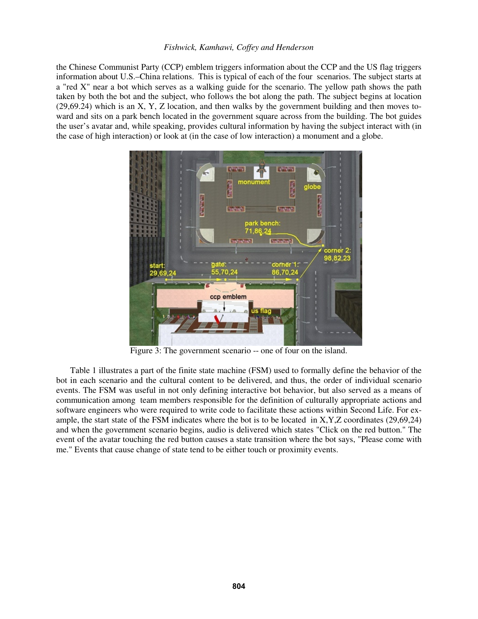the Chinese Communist Party (CCP) emblem triggers information about the CCP and the US flag triggers information about U.S.–China relations. This is typical of each of the four scenarios. The subject starts at a "red X" near a bot which serves as a walking guide for the scenario. The yellow path shows the path taken by both the bot and the subject, who follows the bot along the path. The subject begins at location (29,69.24) which is an X, Y, Z location, and then walks by the government building and then moves toward and sits on a park bench located in the government square across from the building. The bot guides the user's avatar and, while speaking, provides cultural information by having the subject interact with (in the case of high interaction) or look at (in the case of low interaction) a monument and a globe.



Figure 3: The government scenario -- one of four on the island.

Table 1 illustrates a part of the finite state machine (FSM) used to formally define the behavior of the bot in each scenario and the cultural content to be delivered, and thus, the order of individual scenario events. The FSM was useful in not only defining interactive bot behavior, but also served as a means of communication among team members responsible for the definition of culturally appropriate actions and software engineers who were required to write code to facilitate these actions within Second Life. For example, the start state of the FSM indicates where the bot is to be located in X,Y,Z coordinates (29,69,24) and when the government scenario begins, audio is delivered which states "Click on the red button." The event of the avatar touching the red button causes a state transition where the bot says, "Please come with me." Events that cause change of state tend to be either touch or proximity events.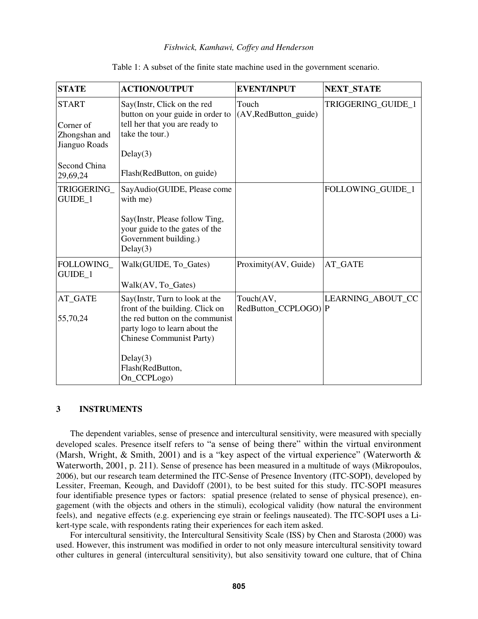| <b>STATE</b>                                                                            | <b>ACTION/OUTPUT</b>                                                                                                                                                                                             | <b>EVENT/INPUT</b>                | <b>NEXT_STATE</b>  |
|-----------------------------------------------------------------------------------------|------------------------------------------------------------------------------------------------------------------------------------------------------------------------------------------------------------------|-----------------------------------|--------------------|
| <b>START</b><br>Corner of<br>Zhongshan and<br>Jianguo Roads<br>Second China<br>29,69,24 | Say(Instr, Click on the red<br>button on your guide in order to<br>tell her that you are ready to<br>take the tour.)<br>Delay(3)<br>Flash(RedButton, on guide)                                                   | Touch<br>(AV, RedButton_guide)    | TRIGGERING_GUIDE_1 |
| TRIGGERING_<br><b>GUIDE 1</b>                                                           | SayAudio(GUIDE, Please come<br>with me)<br>Say(Instr, Please follow Ting,<br>your guide to the gates of the<br>Government building.)<br>Delay(3)                                                                 |                                   | FOLLOWING_GUIDE_1  |
| FOLLOWING<br>GUIDE_1                                                                    | Walk(GUIDE, To_Gates)<br>Walk(AV, To_Gates)                                                                                                                                                                      | Proximity(AV, Guide)              | <b>AT GATE</b>     |
| AT_GATE<br>55,70,24                                                                     | Say(Instr, Turn to look at the<br>front of the building. Click on<br>the red button on the communist<br>party logo to learn about the<br>Chinese Communist Party)<br>Delay(3)<br>Flash(RedButton,<br>On_CCPLogo) | Touch(AV,<br>RedButton_CCPLOGO) P | LEARNING_ABOUT_CC  |

Table 1: A subset of the finite state machine used in the government scenario.

### **3 INSTRUMENTS**

The dependent variables, sense of presence and intercultural sensitivity, were measured with specially developed scales. Presence itself refers to "a sense of being there" within the virtual environment (Marsh, Wright,  $\&$  Smith, 2001) and is a "key aspect of the virtual experience" (Waterworth  $\&$ Waterworth, 2001, p. 211). Sense of presence has been measured in a multitude of ways (Mikropoulos, 2006), but our research team determined the ITC-Sense of Presence Inventory (ITC-SOPI), developed by Lessiter, Freeman, Keough, and Davidoff (2001), to be best suited for this study. ITC-SOPI measures four identifiable presence types or factors: spatial presence (related to sense of physical presence), engagement (with the objects and others in the stimuli), ecological validity (how natural the environment feels), and negative effects (e.g. experiencing eye strain or feelings nauseated). The ITC-SOPI uses a Likert-type scale, with respondents rating their experiences for each item asked.

For intercultural sensitivity, the Intercultural Sensitivity Scale (ISS) by Chen and Starosta (2000) was used. However, this instrument was modified in order to not only measure intercultural sensitivity toward other cultures in general (intercultural sensitivity), but also sensitivity toward one culture, that of China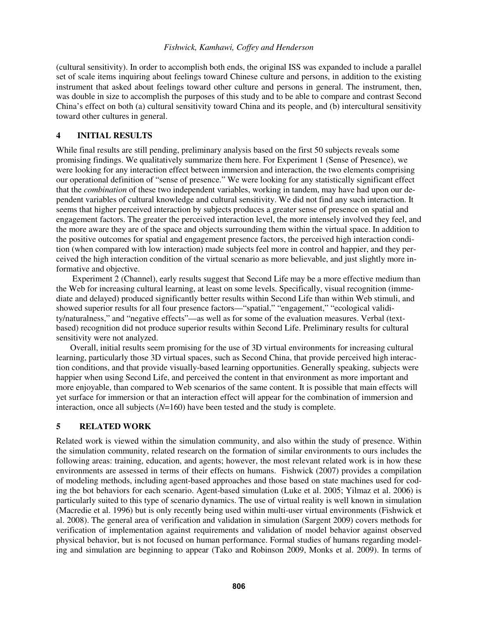(cultural sensitivity). In order to accomplish both ends, the original ISS was expanded to include a parallel set of scale items inquiring about feelings toward Chinese culture and persons, in addition to the existing instrument that asked about feelings toward other culture and persons in general. The instrument, then, was double in size to accomplish the purposes of this study and to be able to compare and contrast Second China's effect on both (a) cultural sensitivity toward China and its people, and (b) intercultural sensitivity toward other cultures in general.

# **4 INITIAL RESULTS**

While final results are still pending, preliminary analysis based on the first 50 subjects reveals some promising findings. We qualitatively summarize them here. For Experiment 1 (Sense of Presence), we were looking for any interaction effect between immersion and interaction, the two elements comprising our operational definition of "sense of presence." We were looking for any statistically significant effect that the *combination* of these two independent variables, working in tandem, may have had upon our dependent variables of cultural knowledge and cultural sensitivity. We did not find any such interaction. It seems that higher perceived interaction by subjects produces a greater sense of presence on spatial and engagement factors. The greater the perceived interaction level, the more intensely involved they feel, and the more aware they are of the space and objects surrounding them within the virtual space. In addition to the positive outcomes for spatial and engagement presence factors, the perceived high interaction condition (when compared with low interaction) made subjects feel more in control and happier, and they perceived the high interaction condition of the virtual scenario as more believable, and just slightly more informative and objective.

 Experiment 2 (Channel), early results suggest that Second Life may be a more effective medium than the Web for increasing cultural learning, at least on some levels. Specifically, visual recognition (immediate and delayed) produced significantly better results within Second Life than within Web stimuli, and showed superior results for all four presence factors—"spatial," "engagement," "ecological validity/naturalness," and "negative effects"—as well as for some of the evaluation measures. Verbal (textbased) recognition did not produce superior results within Second Life. Preliminary results for cultural sensitivity were not analyzed.

 Overall, initial results seem promising for the use of 3D virtual environments for increasing cultural learning, particularly those 3D virtual spaces, such as Second China, that provide perceived high interaction conditions, and that provide visually-based learning opportunities. Generally speaking, subjects were happier when using Second Life, and perceived the content in that environment as more important and more enjoyable, than compared to Web scenarios of the same content. It is possible that main effects will yet surface for immersion or that an interaction effect will appear for the combination of immersion and interaction, once all subjects (*N*=160) have been tested and the study is complete.

## **5 RELATED WORK**

Related work is viewed within the simulation community, and also within the study of presence. Within the simulation community, related research on the formation of similar environments to ours includes the following areas: training, education, and agents; however, the most relevant related work is in how these environments are assessed in terms of their effects on humans. Fishwick (2007) provides a compilation of modeling methods, including agent-based approaches and those based on state machines used for coding the bot behaviors for each scenario. Agent-based simulation (Luke et al. 2005; Yilmaz et al. 2006) is particularly suited to this type of scenario dynamics. The use of virtual reality is well known in simulation (Macredie et al. 1996) but is only recently being used within multi-user virtual environments (Fishwick et al. 2008). The general area of verification and validation in simulation (Sargent 2009) covers methods for verification of implementation against requirements and validation of model behavior against observed physical behavior, but is not focused on human performance. Formal studies of humans regarding modeling and simulation are beginning to appear (Tako and Robinson 2009, Monks et al. 2009). In terms of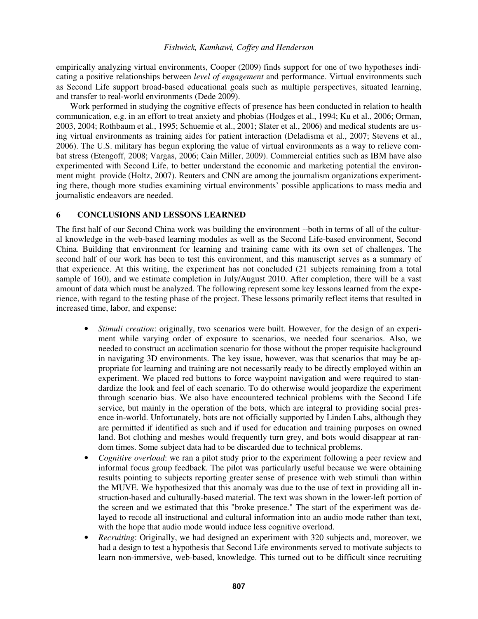empirically analyzing virtual environments, Cooper (2009) finds support for one of two hypotheses indicating a positive relationships between *level of engagement* and performance. Virtual environments such as Second Life support broad-based educational goals such as multiple perspectives, situated learning, and transfer to real-world environments (Dede 2009).

Work performed in studying the cognitive effects of presence has been conducted in relation to health communication, e.g. in an effort to treat anxiety and phobias (Hodges et al., 1994; Ku et al., 2006; Orman, 2003, 2004; Rothbaum et al., 1995; Schuemie et al., 2001; Slater et al., 2006) and medical students are using virtual environments as training aides for patient interaction (Deladisma et al., 2007; Stevens et al., 2006). The U.S. military has begun exploring the value of virtual environments as a way to relieve combat stress (Etengoff, 2008; Vargas, 2006; Cain Miller, 2009). Commercial entities such as IBM have also experimented with Second Life, to better understand the economic and marketing potential the environment might provide (Holtz, 2007). Reuters and CNN are among the journalism organizations experimenting there, though more studies examining virtual environments' possible applications to mass media and journalistic endeavors are needed.

### **6 CONCLUSIONS AND LESSONS LEARNED**

The first half of our Second China work was building the environment --both in terms of all of the cultural knowledge in the web-based learning modules as well as the Second Life-based environment, Second China. Building that environment for learning and training came with its own set of challenges. The second half of our work has been to test this environment, and this manuscript serves as a summary of that experience. At this writing, the experiment has not concluded (21 subjects remaining from a total sample of 160), and we estimate completion in July/August 2010. After completion, there will be a vast amount of data which must be analyzed. The following represent some key lessons learned from the experience, with regard to the testing phase of the project. These lessons primarily reflect items that resulted in increased time, labor, and expense:

- *Stimuli creation*: originally, two scenarios were built. However, for the design of an experiment while varying order of exposure to scenarios, we needed four scenarios. Also, we needed to construct an acclimation scenario for those without the proper requisite background in navigating 3D environments. The key issue, however, was that scenarios that may be appropriate for learning and training are not necessarily ready to be directly employed within an experiment. We placed red buttons to force waypoint navigation and were required to standardize the look and feel of each scenario. To do otherwise would jeopardize the experiment through scenario bias. We also have encountered technical problems with the Second Life service, but mainly in the operation of the bots, which are integral to providing social presence in-world. Unfortunately, bots are not officially supported by Linden Labs, although they are permitted if identified as such and if used for education and training purposes on owned land. Bot clothing and meshes would frequently turn grey, and bots would disappear at random times. Some subject data had to be discarded due to technical problems.
- *Cognitive overload*: we ran a pilot study prior to the experiment following a peer review and informal focus group feedback. The pilot was particularly useful because we were obtaining results pointing to subjects reporting greater sense of presence with web stimuli than within the MUVE. We hypothesized that this anomaly was due to the use of text in providing all instruction-based and culturally-based material. The text was shown in the lower-left portion of the screen and we estimated that this "broke presence." The start of the experiment was delayed to recode all instructional and cultural information into an audio mode rather than text, with the hope that audio mode would induce less cognitive overload.
- *Recruiting*: Originally, we had designed an experiment with 320 subjects and, moreover, we had a design to test a hypothesis that Second Life environments served to motivate subjects to learn non-immersive, web-based, knowledge. This turned out to be difficult since recruiting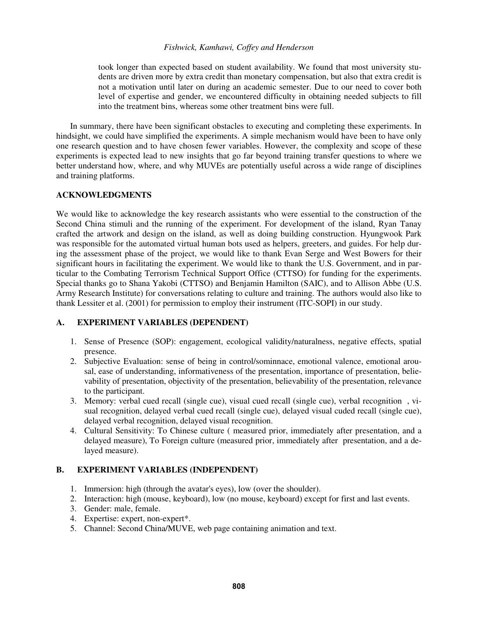took longer than expected based on student availability. We found that most university students are driven more by extra credit than monetary compensation, but also that extra credit is not a motivation until later on during an academic semester. Due to our need to cover both level of expertise and gender, we encountered difficulty in obtaining needed subjects to fill into the treatment bins, whereas some other treatment bins were full.

In summary, there have been significant obstacles to executing and completing these experiments. In hindsight, we could have simplified the experiments. A simple mechanism would have been to have only one research question and to have chosen fewer variables. However, the complexity and scope of these experiments is expected lead to new insights that go far beyond training transfer questions to where we better understand how, where, and why MUVEs are potentially useful across a wide range of disciplines and training platforms.

## **ACKNOWLEDGMENTS**

We would like to acknowledge the key research assistants who were essential to the construction of the Second China stimuli and the running of the experiment. For development of the island, Ryan Tanay crafted the artwork and design on the island, as well as doing building construction. Hyungwook Park was responsible for the automated virtual human bots used as helpers, greeters, and guides. For help during the assessment phase of the project, we would like to thank Evan Serge and West Bowers for their significant hours in facilitating the experiment. We would like to thank the U.S. Government, and in particular to the Combating Terrorism Technical Support Office (CTTSO) for funding for the experiments. Special thanks go to Shana Yakobi (CTTSO) and Benjamin Hamilton (SAIC), and to Allison Abbe (U.S. Army Research Institute) for conversations relating to culture and training. The authors would also like to thank Lessiter et al. (2001) for permission to employ their instrument (ITC-SOPI) in our study.

## **A. EXPERIMENT VARIABLES (DEPENDENT)**

- 1. Sense of Presence (SOP): engagement, ecological validity/naturalness, negative effects, spatial presence.
- 2. Subjective Evaluation: sense of being in control/sominnace, emotional valence, emotional arousal, ease of understanding, informativeness of the presentation, importance of presentation, believability of presentation, objectivity of the presentation, believability of the presentation, relevance to the participant.
- 3. Memory: verbal cued recall (single cue), visual cued recall (single cue), verbal recognition , visual recognition, delayed verbal cued recall (single cue), delayed visual cuded recall (single cue), delayed verbal recognition, delayed visual recognition.
- 4. Cultural Sensitivity: To Chinese culture ( measured prior, immediately after presentation, and a delayed measure), To Foreign culture (measured prior, immediately after presentation, and a delayed measure).

#### **B. EXPERIMENT VARIABLES (INDEPENDENT)**

- 1. Immersion: high (through the avatar's eyes), low (over the shoulder).
- 2. Interaction: high (mouse, keyboard), low (no mouse, keyboard) except for first and last events.
- 3. Gender: male, female.
- 4. Expertise: expert, non-expert\*.
- 5. Channel: Second China/MUVE, web page containing animation and text.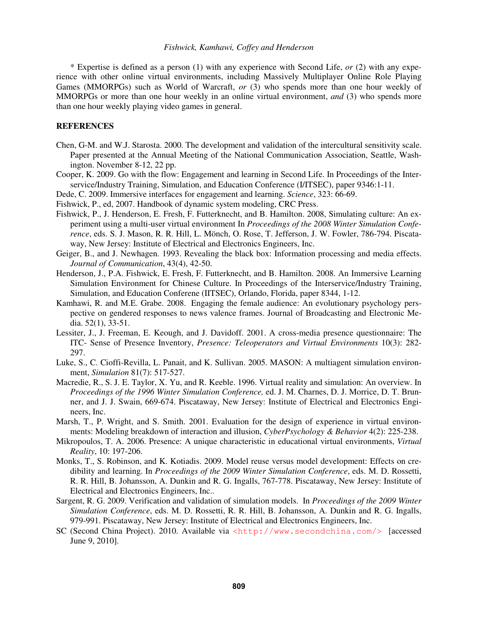\* Expertise is defined as a person (1) with any experience with Second Life, *or* (2) with any experience with other online virtual environments, including Massively Multiplayer Online Role Playing Games (MMORPGs) such as World of Warcraft, *or* (3) who spends more than one hour weekly of MMORPGs or more than one hour weekly in an online virtual environment, *and* (3) who spends more than one hour weekly playing video games in general.

#### **REFERENCES**

- Chen, G-M. and W.J. Starosta. 2000. The development and validation of the intercultural sensitivity scale. Paper presented at the Annual Meeting of the National Communication Association, Seattle, Washington. November 8-12, 22 pp.
- Cooper, K. 2009. Go with the flow: Engagement and learning in Second Life. In Proceedings of the Interservice/Industry Training, Simulation, and Education Conference (I/ITSEC), paper 9346:1-11.
- Dede, C. 2009. Immersive interfaces for engagement and learning. *Science*, 323: 66-69.
- Fishwick, P., ed, 2007. Handbook of dynamic system modeling, CRC Press.
- Fishwick, P., J. Henderson, E. Fresh, F. Futterknecht, and B. Hamilton. 2008, Simulating culture: An experiment using a multi-user virtual environment In *Proceedings of the 2008 Winter Simulation Conference*, eds. S. J. Mason, R. R. Hill, L. Mönch, O. Rose, T. Jefferson, J. W. Fowler, 786-794. Piscataway, New Jersey: Institute of Electrical and Electronics Engineers, Inc.
- Geiger, B., and J. Newhagen. 1993. Revealing the black box: Information processing and media effects. *Journal of Communication*, 43(4), 42-50.
- Henderson, J., P.A. Fishwick, E. Fresh, F. Futterknecht, and B. Hamilton. 2008. An Immersive Learning Simulation Environment for Chinese Culture. In Proceedings of the Interservice/Industry Training, Simulation, and Education Conferene (IITSEC), Orlando, Florida, paper 8344, 1-12.
- Kamhawi, R. and M.E. Grabe. 2008. Engaging the female audience: An evolutionary psychology perspective on gendered responses to news valence frames. Journal of Broadcasting and Electronic Media. 52(1), 33-51.
- Lessiter, J., J. Freeman, E. Keough, and J. Davidoff. 2001. A cross-media presence questionnaire: The ITC- Sense of Presence Inventory, *Presence: Teleoperators and Virtual Environments* 10(3): 282- 297.
- Luke, S., C. Cioffi-Revilla, L. Panait, and K. Sullivan. 2005. MASON: A multiagent simulation environment, *Simulation* 81(7): 517-527.
- Macredie, R., S. J. E. Taylor, X. Yu, and R. Keeble. 1996. Virtual reality and simulation: An overview. In *Proceedings of the 1996 Winter Simulation Conference,* ed. J. M. Charnes, D. J. Morrice, D. T. Brunner, and J. J. Swain, 669-674. Piscataway, New Jersey: Institute of Electrical and Electronics Engineers, Inc.
- Marsh, T., P. Wright, and S. Smith. 2001. Evaluation for the design of experience in virtual environments: Modeling breakdown of interaction and illusion, *CyberPsychology & Behavior* 4(2): 225-238.
- Mikropoulos, T. A. 2006. Presence: A unique characteristic in educational virtual environments, *Virtual Reality*, 10: 197-206.
- Monks, T., S. Robinson, and K. Kotiadis. 2009. Model reuse versus model development: Effects on credibility and learning. In *Proceedings of the 2009 Winter Simulation Conference*, eds. M. D. Rossetti, R. R. Hill, B. Johansson, A. Dunkin and R. G. Ingalls, 767-778. Piscataway, New Jersey: Institute of Electrical and Electronics Engineers, Inc..
- Sargent, R. G. 2009. Verification and validation of simulation models. In *Proceedings of the 2009 Winter Simulation Conference*, eds. M. D. Rossetti, R. R. Hill, B. Johansson, A. Dunkin and R. G. Ingalls, 979-991. Piscataway, New Jersey: Institute of Electrical and Electronics Engineers, Inc.
- SC (Second China Project). 2010. Available via <http://www.secondchina.com/> [accessed June 9, 2010].